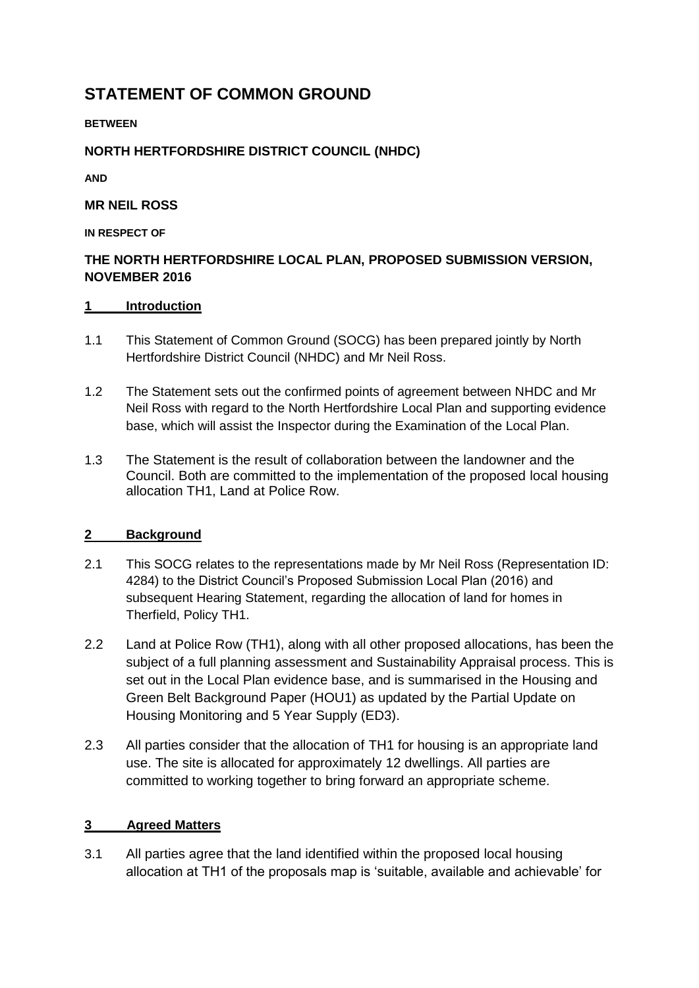# **STATEMENT OF COMMON GROUND**

#### **BETWEEN**

### **NORTH HERTFORDSHIRE DISTRICT COUNCIL (NHDC)**

**AND** 

#### **MR NEIL ROSS**

**IN RESPECT OF**

## **THE NORTH HERTFORDSHIRE LOCAL PLAN, PROPOSED SUBMISSION VERSION, NOVEMBER 2016**

#### **1 Introduction**

- 1.1 This Statement of Common Ground (SOCG) has been prepared jointly by North Hertfordshire District Council (NHDC) and Mr Neil Ross.
- 1.2 The Statement sets out the confirmed points of agreement between NHDC and Mr Neil Ross with regard to the North Hertfordshire Local Plan and supporting evidence base, which will assist the Inspector during the Examination of the Local Plan.
- 1.3 The Statement is the result of collaboration between the landowner and the Council. Both are committed to the implementation of the proposed local housing allocation TH1, Land at Police Row.

#### **2 Background**

- 2.1 This SOCG relates to the representations made by Mr Neil Ross (Representation ID: 4284) to the District Council's Proposed Submission Local Plan (2016) and subsequent Hearing Statement, regarding the allocation of land for homes in Therfield, Policy TH1.
- 2.2 Land at Police Row (TH1), along with all other proposed allocations, has been the subject of a full planning assessment and Sustainability Appraisal process. This is set out in the Local Plan evidence base, and is summarised in the Housing and Green Belt Background Paper (HOU1) as updated by the Partial Update on Housing Monitoring and 5 Year Supply (ED3).
- 2.3 All parties consider that the allocation of TH1 for housing is an appropriate land use. The site is allocated for approximately 12 dwellings. All parties are committed to working together to bring forward an appropriate scheme.

#### **3 Agreed Matters**

3.1 All parties agree that the land identified within the proposed local housing allocation at TH1 of the proposals map is 'suitable, available and achievable' for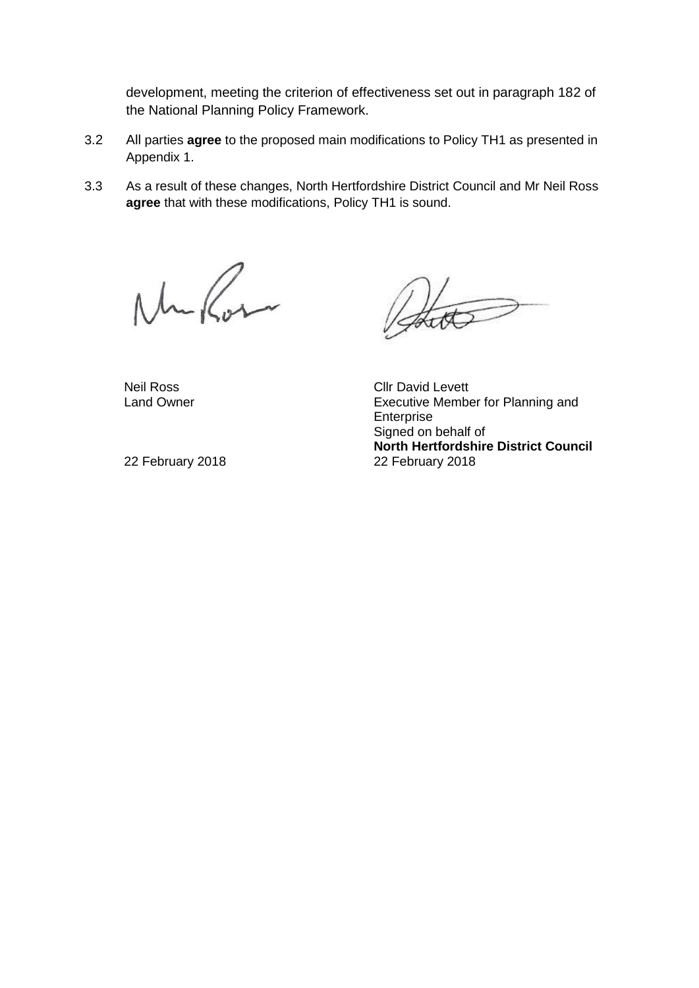development, meeting the criterion of effectiveness set out in paragraph 182 of the National Planning Policy Framework.

- 3.2 All parties **agree** to the proposed main modifications to Policy TH1 as presented in Appendix 1.
- 3.3 As a result of these changes, North Hertfordshire District Council and Mr Neil Ross **agree** that with these modifications, Policy TH1 is sound.

Nu Ros

Neil Ross Cllr David Levett

Land Owner Executive Member for Planning and Enterprise Signed on behalf of **North Hertfordshire District Council** 22 February 2018 22 February 2018